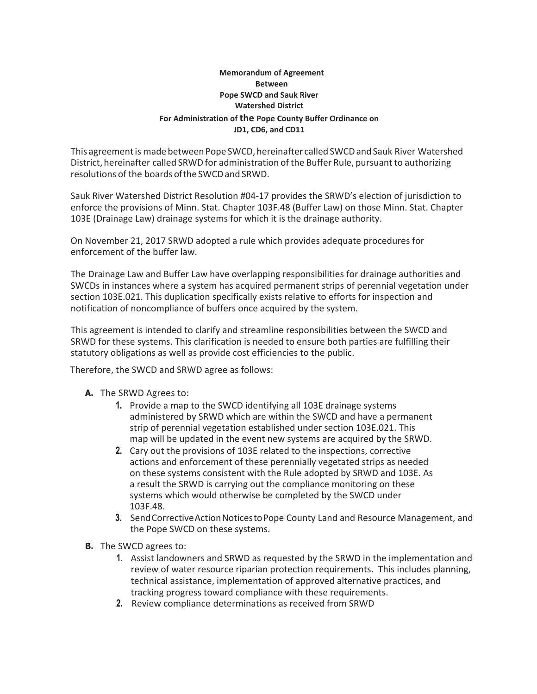## **Memorandum of Agreement Between Pope SWCD and Sauk River Watershed District For Administration of the Pope County Buffer Ordinance on JD1, CD6, and CD11**

This agreement is made between Pope SWCD, hereinafter called SWCD and Sauk River Watershed District, hereinafter called SRWD for administration of the Buffer Rule, pursuant to authorizing resolutions of the boards ofthe SWCDand SRWD.

Sauk River Watershed District Resolution #04-17 provides the SRWD's election of jurisdiction to enforce the provisions of Minn. Stat. Chapter 103F.48 (Buffer Law) on those Minn. Stat. Chapter 103E (Drainage Law) drainage systems for which it is the drainage authority.

On November 21, 2017 SRWD adopted a rule which provides adequate procedures for enforcement of the buffer law.

The Drainage Law and Buffer Law have overlapping responsibilities for drainage authorities and SWCDs in instances where a system has acquired permanent strips of perennial vegetation under section 103E.021. This duplication specifically exists relative to efforts for inspection and notification of noncompliance of buffers once acquired by the system.

This agreement is intended to clarify and streamline responsibilities between the SWCD and SRWD for these systems. This clarification is needed to ensure both parties are fulfilling their statutory obligations as well as provide cost efficiencies to the public.

Therefore, the SWCD and SRWD agree as follows:

- **A.** The SRWD Agrees to:
	- **1.** Provide a map to the SWCD identifying all 103E drainage systems administered by SRWD which are within the SWCD and have a permanent strip of perennial vegetation established under section 103E.021. This map will be updated in the event new systems are acquired by the SRWD.
	- **2.** Cary out the provisions of 103E related to the inspections, corrective actions and enforcement of these perennially vegetated strips as needed on these systems consistent with the Rule adopted by SRWD and 103E. As a result the SRWD is carrying out the compliance monitoring on these systems which would otherwise be completed by the SWCD under 103F.48.
	- **3.** Send Corrective Action Notices to Pope County Land and Resource Management, and the Pope SWCD on these systems.
- **B.** The SWCD agrees to:
	- **1.** Assist landowners and SRWD as requested by the SRWD in the implementation and review of water resource riparian protection requirements. This includes planning, technical assistance, implementation of approved alternative practices, and tracking progress toward compliance with these requirements.
	- **2.** Review compliance determinations as received from SRWD